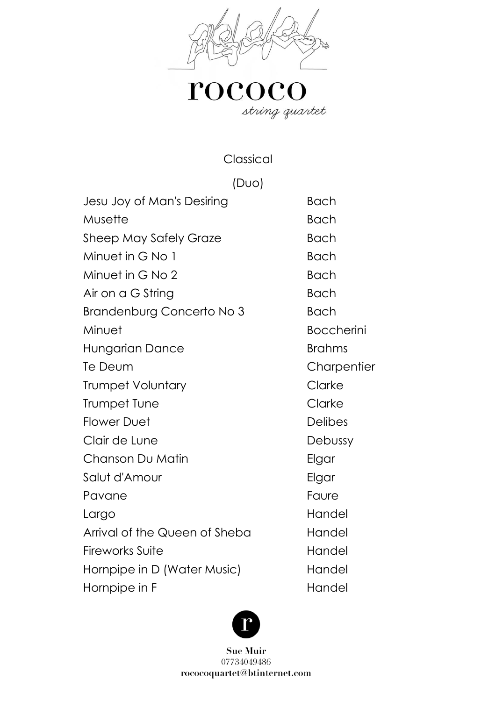

# $\mathbf{roceoc}_{\mathit{string\,quartet}}$

Classical

(Duo)

| Jesu Joy of Man's Desiring       | <b>Bach</b>       |
|----------------------------------|-------------------|
| Musette                          | <b>Bach</b>       |
| <b>Sheep May Safely Graze</b>    | <b>Bach</b>       |
| Minuet in G No 1                 | <b>Bach</b>       |
| Minuet in G No 2                 | <b>Bach</b>       |
| Air on a G String                | <b>Bach</b>       |
| <b>Brandenburg Concerto No 3</b> | <b>Bach</b>       |
| Minuet                           | <b>Boccherini</b> |
| Hungarian Dance                  | <b>Brahms</b>     |
| Te Deum                          | Charpentier       |
| <b>Trumpet Voluntary</b>         | Clarke            |
| Trumpet Tune                     | Clarke            |
| <b>Flower Duet</b>               | <b>Delibes</b>    |
| Clair de Lune                    | Debussy           |
| Chanson Du Matin                 | Elgar             |
| Salut d'Amour                    | Elgar             |
| Pavane                           | Faure             |
| Largo                            | Handel            |
| Arrival of the Queen of Sheba    | Handel            |
| <b>Fireworks Suite</b>           | Handel            |
| Hornpipe in D (Water Music)      | Handel            |
| Hornpipe in F                    | Handel            |

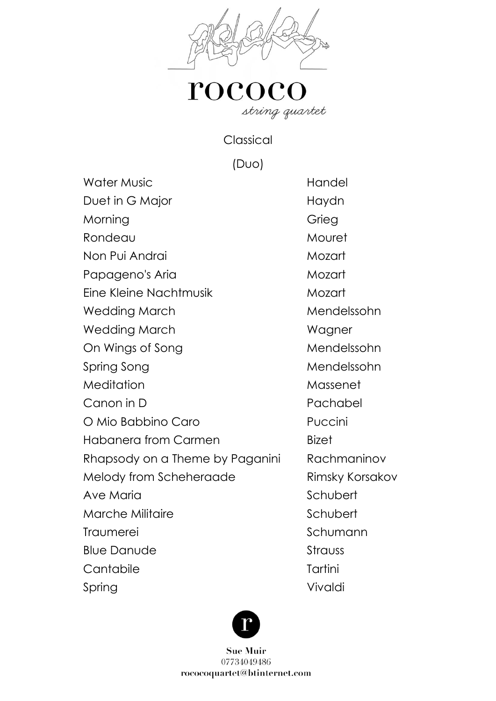

Classical

(Duo)

Water Music **Handel** Duet in G Major Naydn Morning Grieg Rondeau Mouret Non Pui Andrai Mozart Papageno's Aria Mozart Eine Kleine Nachtmusik Mozart Wedding March Mendelssohn Wedding March Wagner On Wings of Song Mendelssohn Spring Song Mendelssohn Meditation Massenet Canon in D Pachabel O Mio Babbino Caro **Puccini** Habanera from Carmen Bizet Rhapsody on a Theme by Paganini Rachmaninov Melody from Scheheraade Rimsky Korsakov Ave Maria North Schubert Marche Militaire **Schubert** Schubert Traumerei Schumann Blue Danude Strauss Cantabile Tartini Spring Vivaldi

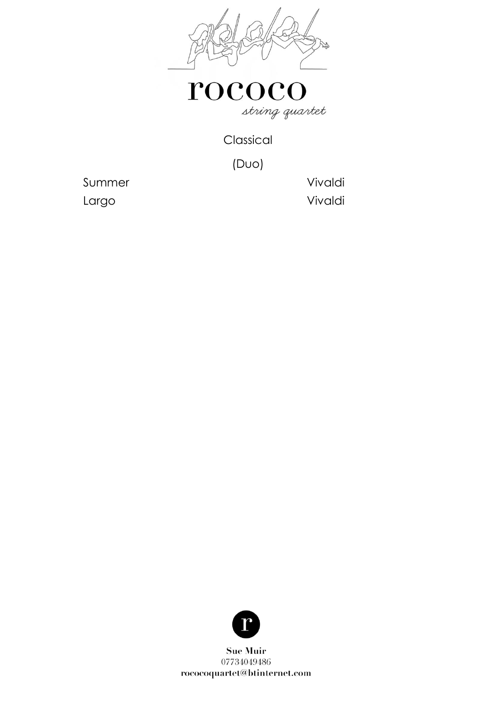

Classical

(Duo)

Summer Vivaldi Largo Vivaldi

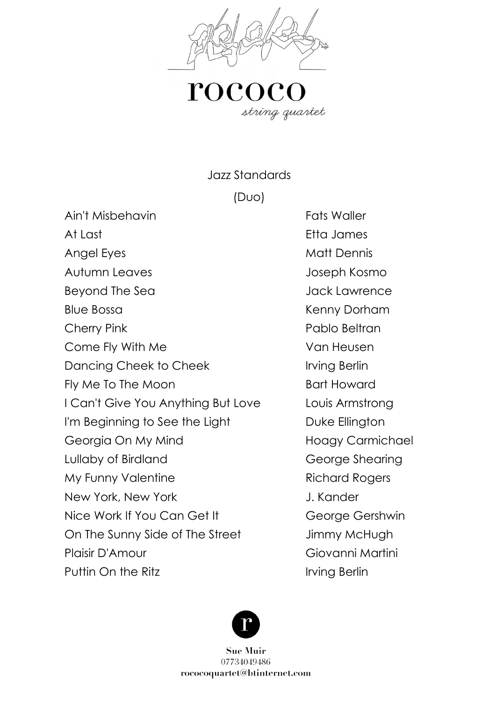

Jazz Standards

(Duo)

Ain't Misbehavin **Fats** Waller

At Last **Etha James** Angel Eyes Matt Dennis Autumn Leaves Joseph Kosmo Beyond The Sea Jack Lawrence Blue Bossa **Kenny Dorham** Cherry Pink **Pablo Beltran** Come Fly With Me Van Heusen Dancing Cheek to Cheek Irving Berlin Fly Me To The Moon Bart Howard I Can't Give You Anything But Love Louis Armstrong I'm Beginning to See the Light Duke Ellington Georgia On My Mind Hoagy Carmichael Lullaby of Birdland George Shearing My Funny Valentine **Richard Rogers** New York, New York **J. Kander** Nice Work If You Can Get It George Gershwin On The Sunny Side of The Street Jimmy McHugh Plaisir D'Amour Giovanni Martini Puttin On the Ritz **Irving Berlin** 

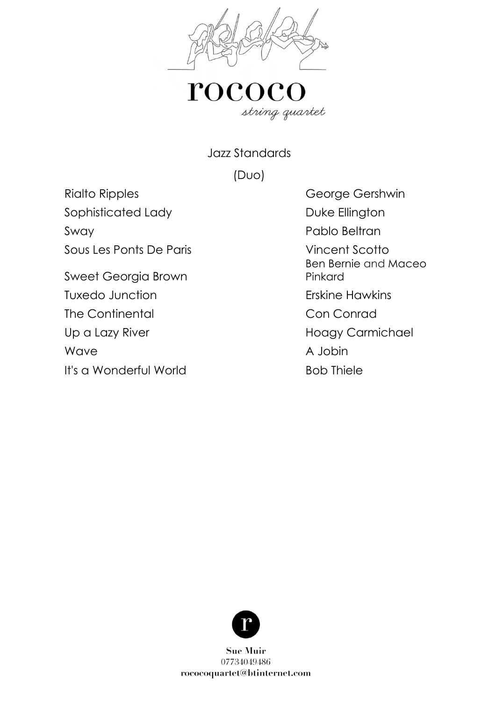

Jazz Standards

(Duo)

Rialto Ripples **George Gershwin** Sophisticated Lady **Duke Ellington** Sway Pablo Beltran

Sous Les Ponts De Paris Vincent Scotto

Sweet Georgia Brown Tuxedo Junction **Erskine Hawkins** The Continental Conconrad Up a Lazy River **Hoagy Carmichael** Wave A Jobin A Jobin It's a Wonderful World Bob Thiele

Ben Bernie and Maceo Pinkard

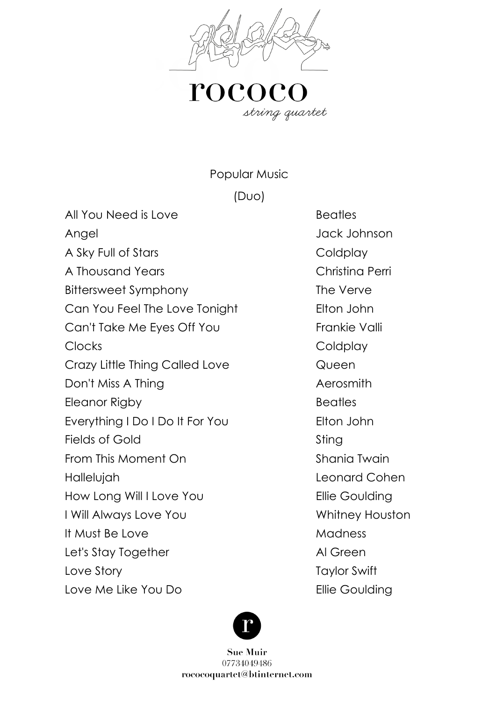

Popular Music

(Duo)

All You Need is Love Beatles

A Sky Full of Stars and the Coldplay A Thousand Years Christina Perri Bittersweet Symphony The Verve Can You Feel The Love Tonight Elton John Can't Take Me Eyes Off You Frankie Valli Clocks Coldplay Crazy Little Thing Called Love **Queen** Don't Miss A Thing **Automaker Accommits** Aerosmith Eleanor Rigby **Beatles** Everything I Do I Do It For You Elton John Fields of Gold Sting From This Moment On Shania Twain Hallelujah Leonard Cohen How Long Will I Love You **Ellie Goulding** I Will Always Love You Network and Whitney Houston It Must Be Love Madness Let's Stay Together Al Green Love Story **Taylor Swift** Love Me Like You Do **Ellie Goulding** 

Angel Jack Johnson

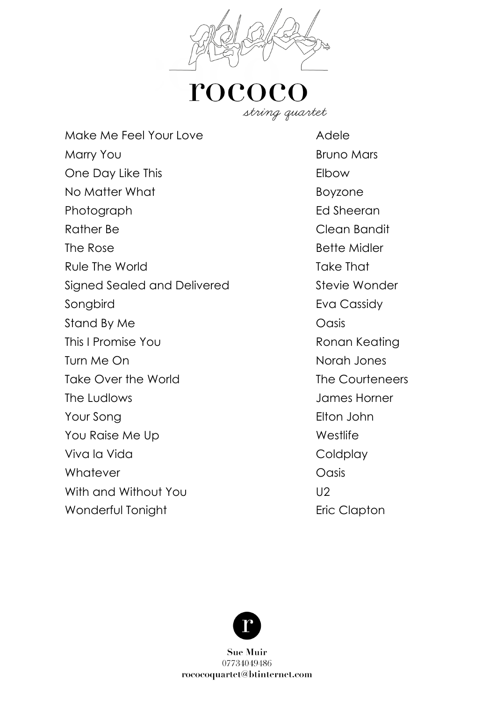

Make Me Feel Your Love **Adele** Marry You **Bruno Mars** One Day Like This **Elbow** No Matter What **Boyzone** Photograph Ed Sheeran Rather Be Clean Bandit The Rose **Bette Midler** Bette Midler Rule The World **Take That** Signed Sealed and Delivered Stevie Wonder Songbird **Eva Cassidy** Stand By Me **Oasis** This I Promise You **Ronan Keating** Turn Me On Norah Jones Take Over the World Take Courteneers The Ludlows James Horner Your Song **Elton John** You Raise Me Up Westlife Viva la Vida de Coldplay Whatever **Oasis** With and Without You **U2** Wonderful Tonight **Example 2018** Eric Clapton

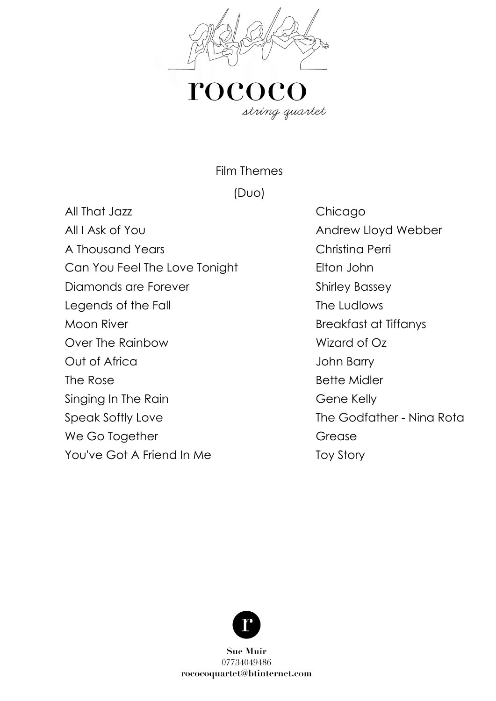

rococ string quartet

Film Themes

(Duo)

All That Jazz **Chicago** All I Ask of You **All I Ask of You** Andrew Lloyd Webber A Thousand Years Christina Perri Can You Feel The Love Tonight Elton John Diamonds are Forever Shirley Bassey Legends of the Fall The Ludlows Moon River **Breakfast at Tiffanys** Over The Rainbow Wizard of Oz Out of Africa Sandwich School and John Barry The Rose **Bette Midler** Singing In The Rain Gene Kelly Speak Softly Love The Godfather - Nina Rota We Go Together Grease You've Got A Friend In Me Toy Story

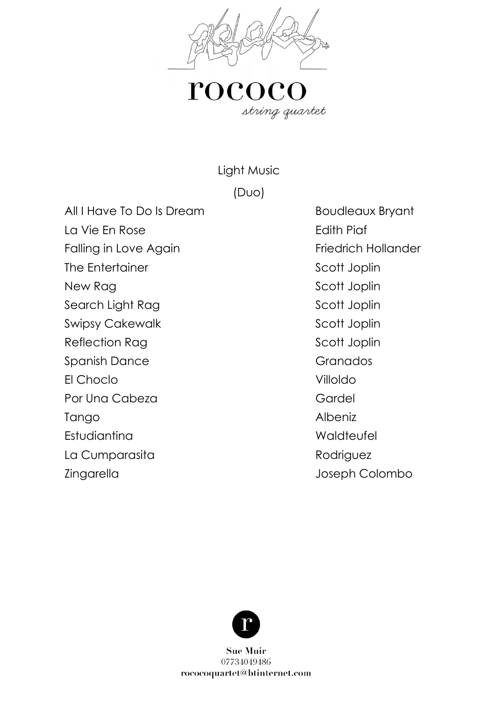

Light Music

#### (Duo)

All I Have To Do Is Dream Boudleaux Bryant

La Vie En Rose Edith Piaf Falling in Love Again **Friedrich Hollander** 

The Entertainer and Scott Joplin

Por Una Cabeza Gardel Gardel

Tango Albeniz

Estudiantina Waldteufel

La Cumparasita de la Rodriguez

New Rag New Rag New Rag New Rag New York 10 and 10 and 10 and 10 and 10 and 10 and 10 and 10 and 10 and 10 and 10 and 10 and 10 and 10 and 10 and 10 and 10 and 10 and 10 and 10 and 10 and 10 and 10 and 10 and 10 and 10 and Search Light Rag Scott Joplin Swipsy Cakewalk **Supervally** Scott Joplin Reflection Rag Scott Joplin Spanish Dance Granados El Choclo Villoldo Zingarella Joseph Colombo

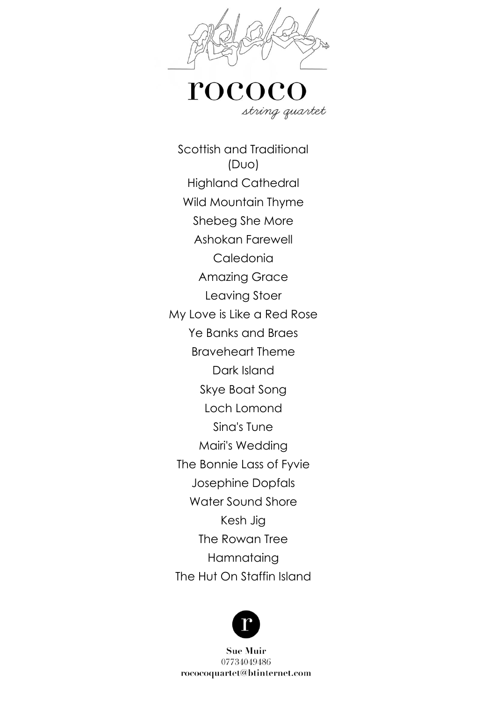

roco string quartet

Scottish and Traditional (Duo) Highland Cathedral Wild Mountain Thyme Shebeg She More Ashokan Farewell Caledonia Amazing Grace Leaving Stoer My Love is Like a Red Rose Ye Banks and Braes Braveheart Theme Dark Island Skye Boat Song Loch Lomond Sina's Tune Mairi's Wedding The Bonnie Lass of Fyvie Josephine Dopfals Water Sound Shore Kesh Jig The Rowan Tree **Hamnataing** The Hut On Staffin Island